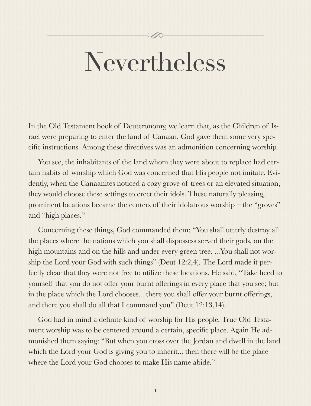# Nevertheless

 $\mathscr{D}$ 

In the Old Testament book of Deuteronomy, we learn that, as the Children of Israel were preparing to enter the land of Canaan, God gave them some very specific instructions. Among these directives was an admonition concerning worship.

You see, the inhabitants of the land whom they were about to replace had certain habits of worship which God was concerned that His people not imitate. Evidently, when the Canaanites noticed a cozy grove of trees or an elevated situation, they would choose these settings to erect their idols. These naturally pleasing, prominent locations became the centers of their idolatrous worship – the "groves" and "high places."

Concerning these things, God commanded them: "You shall utterly destroy all the places where the nations which you shall dispossess served their gods, on the high mountains and on the hills and under every green tree. ...You shall not worship the Lord your God with such things" (Deut 12:2,4). The Lord made it perfectly clear that they were not free to utilize these locations. He said, "Take heed to yourself that you do not offer your burnt offerings in every place that you see; but in the place which the Lord chooses... there you shall offer your burnt offerings, and there you shall do all that I command you" (Deut 12:13,14).

God had in mind a definite kind of worship for His people. True Old Testament worship was to be centered around a certain, specific place. Again He admonished them saying: "But when you cross over the Jordan and dwell in the land which the Lord your God is giving you to inherit... then there will be the place where the Lord your God chooses to make His name abide."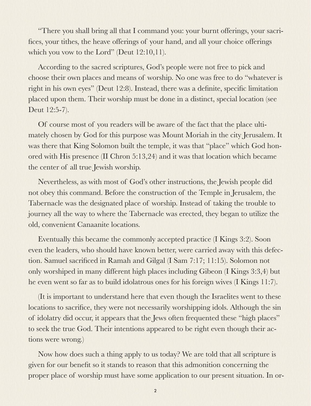"There you shall bring all that I command you: your burnt offerings, your sacrifices, your tithes, the heave offerings of your hand, and all your choice offerings which you vow to the Lord" (Deut 12:10,11).

According to the sacred scriptures, God's people were not free to pick and choose their own places and means of worship. No one was free to do "whatever is right in his own eyes" (Deut 12:8). Instead, there was a definite, specific limitation placed upon them. Their worship must be done in a distinct, special location (see Deut 12:5-7).

Of course most of you readers will be aware of the fact that the place ultimately chosen by God for this purpose was Mount Moriah in the city Jerusalem. It was there that King Solomon built the temple, it was that "place" which God honored with His presence (II Chron 5:13,24) and it was that location which became the center of all true Jewish worship.

Nevertheless, as with most of God's other instructions, the Jewish people did not obey this command. Before the construction of the Temple in Jerusalem, the Tabernacle was the designated place of worship. Instead of taking the trouble to journey all the way to where the Tabernacle was erected, they began to utilize the old, convenient Canaanite locations.

Eventually this became the commonly accepted practice (I Kings 3:2). Soon even the leaders, who should have known better, were carried away with this defection. Samuel sacrificed in Ramah and Gilgal (I Sam 7:17; 11:15). Solomon not only worshiped in many different high places including Gibeon (I Kings 3:3,4) but he even went so far as to build idolatrous ones for his foreign wives (I Kings 11:7).

(It is important to understand here that even though the Israelites went to these locations to sacrifice, they were not necessarily worshipping idols. Although the sin of idolatry did occur, it appears that the Jews often frequented these "high places" to seek the true God. Their intentions appeared to be right even though their actions were wrong.)

Now how does such a thing apply to us today? We are told that all scripture is given for our benefit so it stands to reason that this admonition concerning the proper place of worship must have some application to our present situation. In or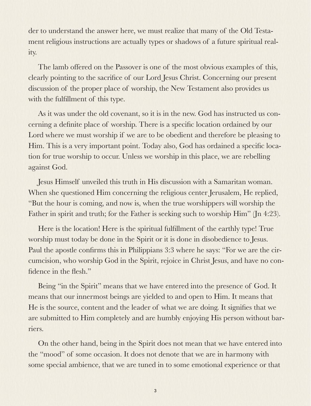der to understand the answer here, we must realize that many of the Old Testament religious instructions are actually types or shadows of a future spiritual reality.

The lamb offered on the Passover is one of the most obvious examples of this, clearly pointing to the sacrifice of our Lord Jesus Christ. Concerning our present discussion of the proper place of worship, the New Testament also provides us with the fulfillment of this type.

As it was under the old covenant, so it is in the new. God has instructed us concerning a definite place of worship. There is a specific location ordained by our Lord where we must worship if we are to be obedient and therefore be pleasing to Him. This is a very important point. Today also, God has ordained a specific location for true worship to occur. Unless we worship in this place, we are rebelling against God.

Jesus Himself unveiled this truth in His discussion with a Samaritan woman. When she questioned Him concerning the religious center Jerusalem, He replied, "But the hour is coming, and now is, when the true worshippers will worship the Father in spirit and truth; for the Father is seeking such to worship Him" (Jn 4:23).

Here is the location! Here is the spiritual fulfillment of the earthly type! True worship must today be done in the Spirit or it is done in disobedience to Jesus. Paul the apostle confirms this in Philippians 3:3 where he says: "For we are the circumcision, who worship God in the Spirit, rejoice in Christ Jesus, and have no confidence in the flesh."

Being "in the Spirit" means that we have entered into the presence of God. It means that our innermost beings are yielded to and open to Him. It means that He is the source, content and the leader of what we are doing. It signifies that we are submitted to Him completely and are humbly enjoying His person without barriers.

On the other hand, being in the Spirit does not mean that we have entered into the "mood" of some occasion. It does not denote that we are in harmony with some special ambience, that we are tuned in to some emotional experience or that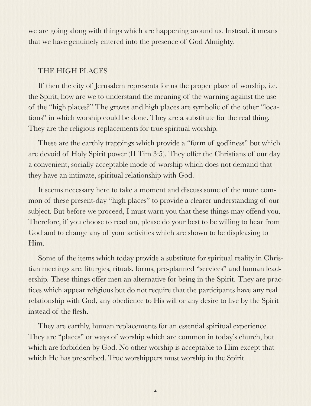we are going along with things which are happening around us. Instead, it means that we have genuinely entered into the presence of God Almighty.

### THE HIGH PLACES

If then the city of Jerusalem represents for us the proper place of worship, i.e. the Spirit, how are we to understand the meaning of the warning against the use of the "high places?" The groves and high places are symbolic of the other "locations" in which worship could be done. They are a substitute for the real thing. They are the religious replacements for true spiritual worship.

These are the earthly trappings which provide a "form of godliness" but which are devoid of Holy Spirit power (II Tim 3:5). They offer the Christians of our day a convenient, socially acceptable mode of worship which does not demand that they have an intimate, spiritual relationship with God.

It seems necessary here to take a moment and discuss some of the more common of these present-day "high places" to provide a clearer understanding of our subject. But before we proceed, I must warn you that these things may offend you. Therefore, if you choose to read on, please do your best to be willing to hear from God and to change any of your activities which are shown to be displeasing to Him.

Some of the items which today provide a substitute for spiritual reality in Christian meetings are: liturgies, rituals, forms, pre-planned "services" and human leadership. These things offer men an alternative for being in the Spirit. They are practices which appear religious but do not require that the participants have any real relationship with God, any obedience to His will or any desire to live by the Spirit instead of the flesh.

They are earthly, human replacements for an essential spiritual experience. They are "places" or ways of worship which are common in today's church, but which are forbidden by God. No other worship is acceptable to Him except that which He has prescribed. True worshippers must worship in the Spirit.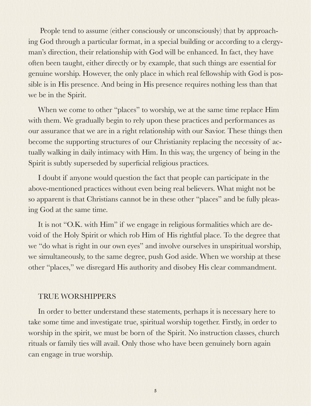People tend to assume (either consciously or unconsciously) that by approaching God through a particular format, in a special building or according to a clergyman's direction, their relationship with God will be enhanced. In fact, they have often been taught, either directly or by example, that such things are essential for genuine worship. However, the only place in which real fellowship with God is possible is in His presence. And being in His presence requires nothing less than that we be in the Spirit.

When we come to other "places" to worship, we at the same time replace Him with them. We gradually begin to rely upon these practices and performances as our assurance that we are in a right relationship with our Savior. These things then become the supporting structures of our Christianity replacing the necessity of actually walking in daily intimacy with Him. In this way, the urgency of being in the Spirit is subtly superseded by superficial religious practices.

I doubt if anyone would question the fact that people can participate in the above-mentioned practices without even being real believers. What might not be so apparent is that Christians cannot be in these other "places" and be fully pleasing God at the same time.

It is not "O.K. with Him" if we engage in religious formalities which are devoid of the Holy Spirit or which rob Him of His rightful place. To the degree that we "do what is right in our own eyes" and involve ourselves in unspiritual worship, we simultaneously, to the same degree, push God aside. When we worship at these other "places," we disregard His authority and disobey His clear commandment.

#### TRUE WORSHIPPERS

In order to better understand these statements, perhaps it is necessary here to take some time and investigate true, spiritual worship together. Firstly, in order to worship in the spirit, we must be born of the Spirit. No instruction classes, church rituals or family ties will avail. Only those who have been genuinely born again can engage in true worship.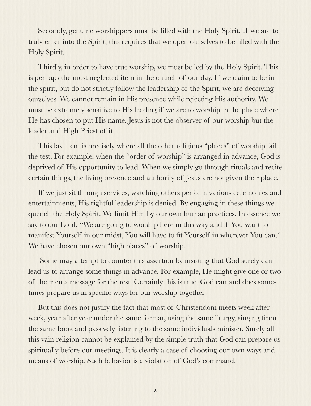Secondly, genuine worshippers must be filled with the Holy Spirit. If we are to truly enter into the Spirit, this requires that we open ourselves to be filled with the Holy Spirit.

Thirdly, in order to have true worship, we must be led by the Holy Spirit. This is perhaps the most neglected item in the church of our day. If we claim to be in the spirit, but do not strictly follow the leadership of the Spirit, we are deceiving ourselves. We cannot remain in His presence while rejecting His authority. We must be extremely sensitive to His leading if we are to worship in the place where He has chosen to put His name. Jesus is not the observer of our worship but the leader and High Priest of it.

This last item is precisely where all the other religious "places" of worship fail the test. For example, when the "order of worship" is arranged in advance, God is deprived of His opportunity to lead. When we simply go through rituals and recite certain things, the living presence and authority of Jesus are not given their place.

If we just sit through services, watching others perform various ceremonies and entertainments, His rightful leadership is denied. By engaging in these things we quench the Holy Spirit. We limit Him by our own human practices. In essence we say to our Lord, "We are going to worship here in this way and if You want to manifest Yourself in our midst, You will have to fit Yourself in wherever You can." We have chosen our own "high places" of worship.

 Some may attempt to counter this assertion by insisting that God surely can lead us to arrange some things in advance. For example, He might give one or two of the men a message for the rest. Certainly this is true. God can and does sometimes prepare us in specific ways for our worship together.

But this does not justify the fact that most of Christendom meets week after week, year after year under the same format, using the same liturgy, singing from the same book and passively listening to the same individuals minister. Surely all this vain religion cannot be explained by the simple truth that God can prepare us spiritually before our meetings. It is clearly a case of choosing our own ways and means of worship. Such behavior is a violation of God's command.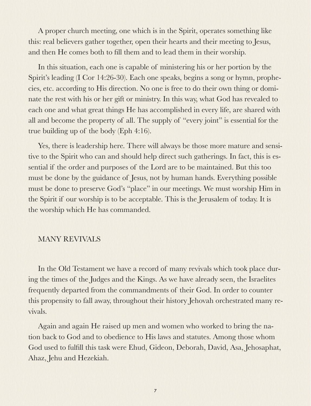A proper church meeting, one which is in the Spirit, operates something like this: real believers gather together, open their hearts and their meeting to Jesus, and then He comes both to fill them and to lead them in their worship.

In this situation, each one is capable of ministering his or her portion by the Spirit's leading (I Cor 14:26-30). Each one speaks, begins a song or hymn, prophecies, etc. according to His direction. No one is free to do their own thing or dominate the rest with his or her gift or ministry. In this way, what God has revealed to each one and what great things He has accomplished in every life, are shared with all and become the property of all. The supply of "every joint" is essential for the true building up of the body (Eph 4:16).

Yes, there is leadership here. There will always be those more mature and sensitive to the Spirit who can and should help direct such gatherings. In fact, this is essential if the order and purposes of the Lord are to be maintained. But this too must be done by the guidance of Jesus, not by human hands. Everything possible must be done to preserve God's "place" in our meetings. We must worship Him in the Spirit if our worship is to be acceptable. This is the Jerusalem of today. It is the worship which He has commanded.

#### MANY REVIVALS

In the Old Testament we have a record of many revivals which took place during the times of the Judges and the Kings. As we have already seen, the Israelites frequently departed from the commandments of their God. In order to counter this propensity to fall away, throughout their history Jehovah orchestrated many revivals.

Again and again He raised up men and women who worked to bring the nation back to God and to obedience to His laws and statutes. Among those whom God used to fulfill this task were Ehud, Gideon, Deborah, David, Asa, Jehosaphat, Ahaz, Jehu and Hezekiah.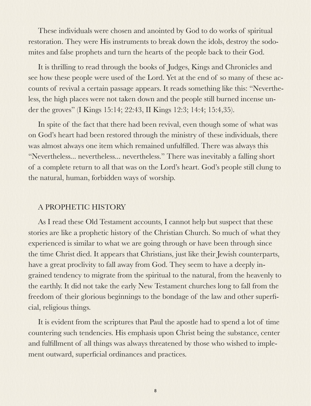These individuals were chosen and anointed by God to do works of spiritual restoration. They were His instruments to break down the idols, destroy the sodomites and false prophets and turn the hearts of the people back to their God.

It is thrilling to read through the books of Judges, Kings and Chronicles and see how these people were used of the Lord. Yet at the end of so many of these accounts of revival a certain passage appears. It reads something like this: "Nevertheless, the high places were not taken down and the people still burned incense under the groves" (I Kings 15:14; 22:43, II Kings 12:3; 14:4; 15:4,35).

In spite of the fact that there had been revival, even though some of what was on God's heart had been restored through the ministry of these individuals, there was almost always one item which remained unfulfilled. There was always this "Nevertheless... nevertheless... nevertheless." There was inevitably a falling short of a complete return to all that was on the Lord's heart. God's people still clung to the natural, human, forbidden ways of worship.

## A PROPHETIC HISTORY

As I read these Old Testament accounts, I cannot help but suspect that these stories are like a prophetic history of the Christian Church. So much of what they experienced is similar to what we are going through or have been through since the time Christ died. It appears that Christians, just like their Jewish counterparts, have a great proclivity to fall away from God. They seem to have a deeply ingrained tendency to migrate from the spiritual to the natural, from the heavenly to the earthly. It did not take the early New Testament churches long to fall from the freedom of their glorious beginnings to the bondage of the law and other superficial, religious things.

It is evident from the scriptures that Paul the apostle had to spend a lot of time countering such tendencies. His emphasis upon Christ being the substance, center and fulfillment of all things was always threatened by those who wished to implement outward, superficial ordinances and practices.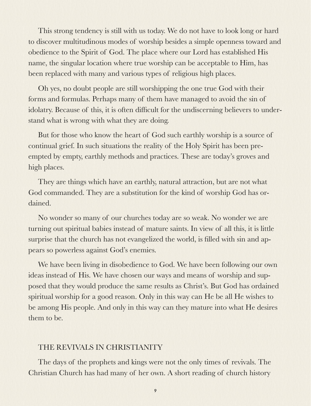This strong tendency is still with us today. We do not have to look long or hard to discover multitudinous modes of worship besides a simple openness toward and obedience to the Spirit of God. The place where our Lord has established His name, the singular location where true worship can be acceptable to Him, has been replaced with many and various types of religious high places.

Oh yes, no doubt people are still worshipping the one true God with their forms and formulas. Perhaps many of them have managed to avoid the sin of idolatry. Because of this, it is often difficult for the undiscerning believers to understand what is wrong with what they are doing.

But for those who know the heart of God such earthly worship is a source of continual grief. In such situations the reality of the Holy Spirit has been preempted by empty, earthly methods and practices. These are today's groves and high places.

They are things which have an earthly, natural attraction, but are not what God commanded. They are a substitution for the kind of worship God has ordained.

No wonder so many of our churches today are so weak. No wonder we are turning out spiritual babies instead of mature saints. In view of all this, it is little surprise that the church has not evangelized the world, is filled with sin and appears so powerless against God's enemies.

We have been living in disobedience to God. We have been following our own ideas instead of His. We have chosen our ways and means of worship and supposed that they would produce the same results as Christ's. But God has ordained spiritual worship for a good reason. Only in this way can He be all He wishes to be among His people. And only in this way can they mature into what He desires them to be.

#### THE REVIVALS IN CHRISTIANITY

The days of the prophets and kings were not the only times of revivals. The Christian Church has had many of her own. A short reading of church history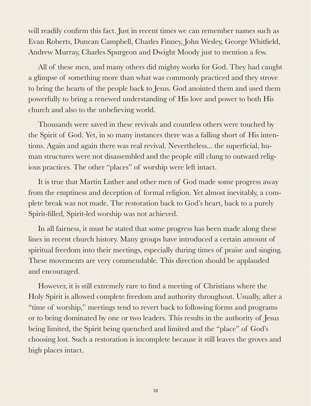will readily confirm this fact. Just in recent times we can remember names such as Evan Roberts, Duncan Campbell, Charles Finney, John Wesley, George Whitfield, Andrew Murray, Charles Spurgeon and Dwight Moody just to mention a few.

All of these men, and many others did mighty works for God. They had caught a glimpse of something more than what was commonly practiced and they strove to bring the hearts of the people back to Jesus. God anointed them and used them powerfully to bring a renewed understanding of His love and power to both His church and also to the unbelieving world.

Thousands were saved in these revivals and countless others were touched by the Spirit of God. Yet, in so many instances there was a falling short of His intentions. Again and again there was real revival. Nevertheless... the superficial, human structures were not disassembled and the people still clung to outward religious practices. The other "places" of worship were left intact.

It is true that Martin Luther and other men of God made some progress away from the emptiness and deception of formal religion. Yet almost inevitably, a complete break was not made. The restoration back to God's heart, back to a purely Spirit-filled, Spirit-led worship was not achieved.

In all fairness, it must be stated that some progress has been made along these lines in recent church history. Many groups have introduced a certain amount of spiritual freedom into their meetings, especially during times of praise and singing. These movements are very commendable. This direction should be applauded and encouraged.

However, it is still extremely rare to find a meeting of Christians where the Holy Spirit is allowed complete freedom and authority throughout. Usually, after a "time of worship," meetings tend to revert back to following forms and programs or to being dominated by one or two leaders. This results in the authority of Jesus being limited, the Spirit being quenched and limited and the "place" of God's choosing lost. Such a restoration is incomplete because it still leaves the groves and high places intact.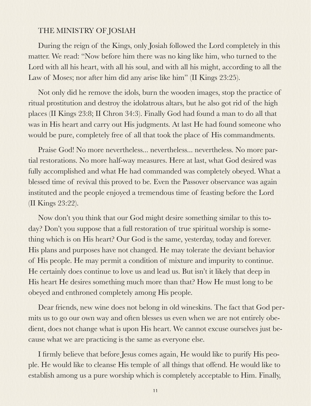# THE MINISTRY OF JOSIAH

During the reign of the Kings, only Josiah followed the Lord completely in this matter. We read: "Now before him there was no king like him, who turned to the Lord with all his heart, with all his soul, and with all his might, according to all the Law of Moses; nor after him did any arise like him" (II Kings 23:25).

Not only did he remove the idols, burn the wooden images, stop the practice of ritual prostitution and destroy the idolatrous altars, but he also got rid of the high places (II Kings 23:8; II Chron 34:3). Finally God had found a man to do all that was in His heart and carry out His judgments. At last He had found someone who would be pure, completely free of all that took the place of His commandments.

Praise God! No more nevertheless... nevertheless... nevertheless. No more partial restorations. No more half-way measures. Here at last, what God desired was fully accomplished and what He had commanded was completely obeyed. What a blessed time of revival this proved to be. Even the Passover observance was again instituted and the people enjoyed a tremendous time of feasting before the Lord (II Kings 23:22).

Now don't you think that our God might desire something similar to this today? Don't you suppose that a full restoration of true spiritual worship is something which is on His heart? Our God is the same, yesterday, today and forever. His plans and purposes have not changed. He may tolerate the deviant behavior of His people. He may permit a condition of mixture and impurity to continue. He certainly does continue to love us and lead us. But isn't it likely that deep in His heart He desires something much more than that? How He must long to be obeyed and enthroned completely among His people.

Dear friends, new wine does not belong in old wineskins. The fact that God permits us to go our own way and often blesses us even when we are not entirely obedient, does not change what is upon His heart. We cannot excuse ourselves just because what we are practicing is the same as everyone else.

I firmly believe that before Jesus comes again, He would like to purify His people. He would like to cleanse His temple of all things that offend. He would like to establish among us a pure worship which is completely acceptable to Him. Finally,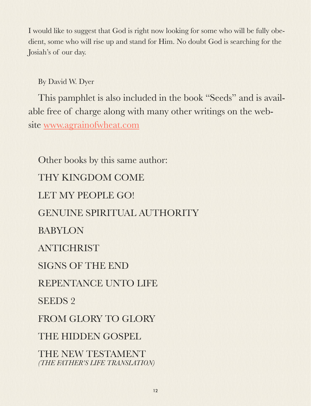I would like to suggest that God is right now looking for some who will be fully obedient, some who will rise up and stand for Him. No doubt God is searching for the Josiah's of our day.

By David W. Dyer

This pamphlet is also included in the book "Seeds" and is available free of charge along with many other writings on the website [www.agrainofwheat.com](http://www.agrainofwheat.com)

Other books by this same author: THY KINGDOM COME LET MY PEOPLE GO! GENUINE SPIRITUAL AUTHORITY BABYLON ANTICHRIST SIGNS OF THE END REPENTANCE UNTO LIFE SEEDS 2 FROM GLORY TO GLORY THE HIDDEN GOSPEL THE NEW TESTAMENT *(THE FATHER'S LIFE TRANSLATION)*